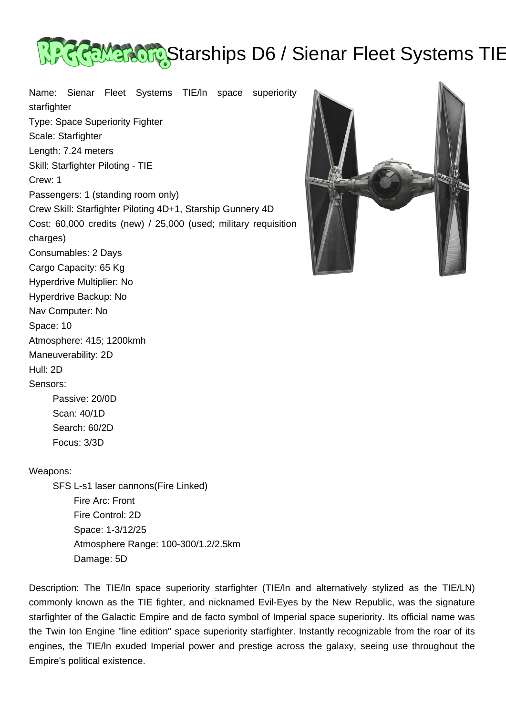

Name: Sienar Fleet Systems TIE/ln space superiority starfighter Type: Space Superiority Fighter Scale: Starfighter Length: 7.24 meters Skill: Starfighter Piloting - TIE Crew: 1 Passengers: 1 (standing room only) Crew Skill: Starfighter Piloting 4D+1, Starship Gunnery 4D Cost: 60,000 credits (new) / 25,000 (used; military requisition charges) Consumables: 2 Days Cargo Capacity: 65 Kg Hyperdrive Multiplier: No Hyperdrive Backup: No Nav Computer: No Space: 10 Atmosphere: 415; 1200kmh Maneuverability: 2D Hull: 2D Sensors: Passive: 20/0D Scan: 40/1D



## Weapons:

 Search: 60/2D Focus: 3/3D

 SFS L-s1 laser cannons(Fire Linked) Fire Arc: Front Fire Control: 2D Space: 1-3/12/25 Atmosphere Range: 100-300/1.2/2.5km Damage: 5D

Description: The TIE/ln space superiority starfighter (TIE/ln and alternatively stylized as the TIE/LN) commonly known as the TIE fighter, and nicknamed Evil-Eyes by the New Republic, was the signature starfighter of the Galactic Empire and de facto symbol of Imperial space superiority. Its official name was the Twin Ion Engine "line edition" space superiority starfighter. Instantly recognizable from the roar of its engines, the TIE/ln exuded Imperial power and prestige across the galaxy, seeing use throughout the Empire's political existence.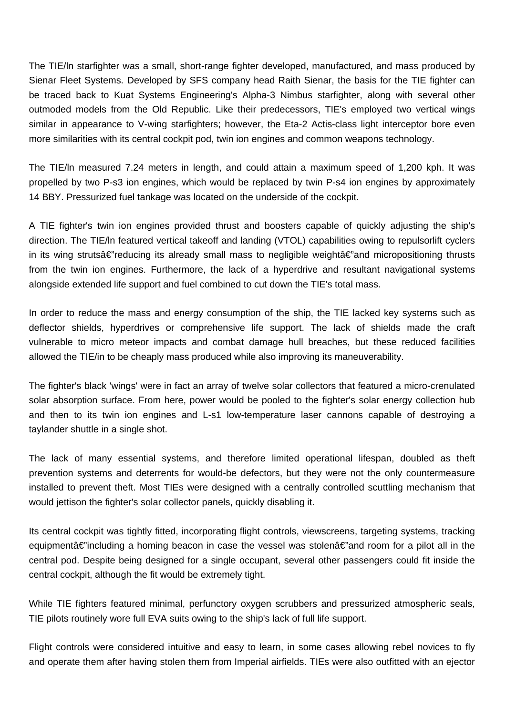The TIE/ln starfighter was a small, short-range fighter developed, manufactured, and mass produced by Sienar Fleet Systems. Developed by SFS company head Raith Sienar, the basis for the TIE fighter can be traced back to Kuat Systems Engineering's Alpha-3 Nimbus starfighter, along with several other outmoded models from the Old Republic. Like their predecessors, TIE's employed two vertical wings similar in appearance to V-wing starfighters; however, the Eta-2 Actis-class light interceptor bore even more similarities with its central cockpit pod, twin ion engines and common weapons technology.

The TIE/ln measured 7.24 meters in length, and could attain a maximum speed of 1,200 kph. It was propelled by two P-s3 ion engines, which would be replaced by twin P-s4 ion engines by approximately 14 BBY. Pressurized fuel tankage was located on the underside of the cockpit.

A TIE fighter's twin ion engines provided thrust and boosters capable of quickly adjusting the ship's direction. The TIE/ln featured vertical takeoff and landing (VTOL) capabilities owing to repulsorlift cyclers in its wing strutsâ€"reducing its already small mass to negligible weightâ€"and micropositioning thrusts from the twin ion engines. Furthermore, the lack of a hyperdrive and resultant navigational systems alongside extended life support and fuel combined to cut down the TIE's total mass.

In order to reduce the mass and energy consumption of the ship, the TIE lacked key systems such as deflector shields, hyperdrives or comprehensive life support. The lack of shields made the craft vulnerable to micro meteor impacts and combat damage hull breaches, but these reduced facilities allowed the TIE/in to be cheaply mass produced while also improving its maneuverability.

The fighter's black 'wings' were in fact an array of twelve solar collectors that featured a micro-crenulated solar absorption surface. From here, power would be pooled to the fighter's solar energy collection hub and then to its twin ion engines and L-s1 low-temperature laser cannons capable of destroying a taylander shuttle in a single shot.

The lack of many essential systems, and therefore limited operational lifespan, doubled as theft prevention systems and deterrents for would-be defectors, but they were not the only countermeasure installed to prevent theft. Most TIEs were designed with a centrally controlled scuttling mechanism that would jettison the fighter's solar collector panels, quickly disabling it.

Its central cockpit was tightly fitted, incorporating flight controls, viewscreens, targeting systems, tracking equipmentâ $\epsilon$ "including a homing beacon in case the vessel was stolenâ $\epsilon$ "and room for a pilot all in the central pod. Despite being designed for a single occupant, several other passengers could fit inside the central cockpit, although the fit would be extremely tight.

While TIE fighters featured minimal, perfunctory oxygen scrubbers and pressurized atmospheric seals, TIE pilots routinely wore full EVA suits owing to the ship's lack of full life support.

Flight controls were considered intuitive and easy to learn, in some cases allowing rebel novices to fly and operate them after having stolen them from Imperial airfields. TIEs were also outfitted with an ejector